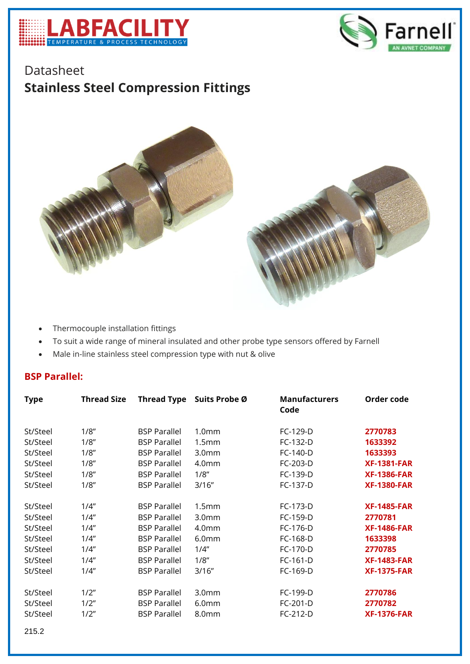



## Datasheet **Stainless Steel Compression Fittings**



- Thermocouple installation fittings
- To suit a wide range of mineral insulated and other probe type sensors offered by Farnell
- Male in-line stainless steel compression type with nut & olive

## **BSP Parallel:**

| <b>Type</b> | <b>Thread Size</b> | <b>Thread Type</b>  | Suits Probe Ø     | <b>Manufacturers</b><br>Code | Order code         |
|-------------|--------------------|---------------------|-------------------|------------------------------|--------------------|
| St/Steel    | 1/8"               | <b>BSP Parallel</b> | 1.0 <sub>mm</sub> | FC-129-D                     | 2770783            |
| St/Steel    | 1/8"               | <b>BSP Parallel</b> | 1.5mm             | FC-132-D                     | 1633392            |
| St/Steel    | 1/8"               | <b>BSP Parallel</b> | 3.0 <sub>mm</sub> | FC-140-D                     | 1633393            |
| St/Steel    | 1/8"               | <b>BSP Parallel</b> | 4.0 <sub>mm</sub> | FC-203-D                     | <b>XF-1381-FAR</b> |
| St/Steel    | 1/8"               | <b>BSP Parallel</b> | 1/8"              | FC-139-D                     | <b>XF-1386-FAR</b> |
| St/Steel    | 1/8"               | <b>BSP Parallel</b> | 3/16"             | FC-137-D                     | <b>XF-1380-FAR</b> |
| St/Steel    | 1/4"               | <b>BSP Parallel</b> | 1.5 <sub>mm</sub> | FC-173-D                     | <b>XF-1485-FAR</b> |
| St/Steel    | 1/4"               | <b>BSP Parallel</b> | 3.0 <sub>mm</sub> | FC-159-D                     | 2770781            |
| St/Steel    | 1/4"               | <b>BSP Parallel</b> | 4.0 <sub>mm</sub> | FC-176-D                     | <b>XF-1486-FAR</b> |
| St/Steel    | 1/4"               | <b>BSP Parallel</b> | 6.0 <sub>mm</sub> | FC-168-D                     | 1633398            |
| St/Steel    | 1/4"               | <b>BSP Parallel</b> | 1/4"              | FC-170-D                     | 2770785            |
| St/Steel    | 1/4"               | <b>BSP Parallel</b> | 1/8"              | FC-161-D                     | <b>XF-1483-FAR</b> |
| St/Steel    | 1/4"               | <b>BSP Parallel</b> | 3/16''            | FC-169-D                     | <b>XF-1375-FAR</b> |
| St/Steel    | 1/2"               | <b>BSP Parallel</b> | 3.0 <sub>mm</sub> | FC-199-D                     | 2770786            |
| St/Steel    | 1/2"               | <b>BSP Parallel</b> | 6.0 <sub>mm</sub> | FC-201-D                     | 2770782            |
| St/Steel    | 1/2"               | <b>BSP Parallel</b> | 8.0mm             | FC-212-D                     | <b>XF-1376-FAR</b> |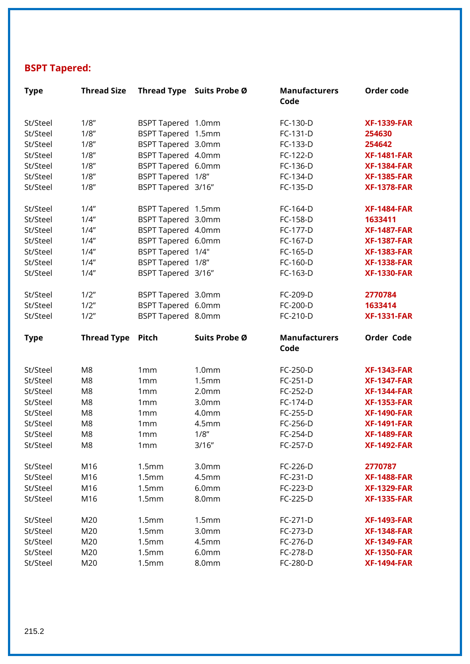## **BSPT Tapered:**

| <b>Type</b>          | <b>Thread Size</b>               |                        | Thread Type Suits Probe Ø  | <b>Manufacturers</b><br>Code | Order code                               |
|----------------------|----------------------------------|------------------------|----------------------------|------------------------------|------------------------------------------|
| St/Steel             | 1/8"                             | <b>BSPT Tapered</b>    | 1.0 <sub>mm</sub>          | FC-130-D                     | <b>XF-1339-FAR</b>                       |
| St/Steel             | 1/8"                             | <b>BSPT Tapered</b>    | 1.5 <sub>mm</sub>          | FC-131-D                     | 254630                                   |
| St/Steel             | 1/8"                             | BSPT Tapered 3.0mm     |                            | FC-133-D                     | 254642                                   |
| St/Steel             | 1/8"                             | BSPT Tapered 4.0mm     |                            | FC-122-D                     | <b>XF-1481-FAR</b>                       |
| St/Steel             | 1/8"                             | <b>BSPT Tapered</b>    | 6.0 <sub>mm</sub>          | FC-136-D                     | <b>XF-1384-FAR</b>                       |
| St/Steel             | 1/8"                             | <b>BSPT Tapered</b>    | 1/8"                       | FC-134-D                     | <b>XF-1385-FAR</b>                       |
| St/Steel             | 1/8"                             | BSPT Tapered 3/16"     |                            | FC-135-D                     | <b>XF-1378-FAR</b>                       |
| St/Steel             | 1/4"                             | BSPT Tapered 1.5mm     |                            | FC-164-D                     | <b>XF-1484-FAR</b>                       |
| St/Steel             | 1/4"                             | BSPT Tapered 3.0mm     |                            | FC-158-D                     | 1633411                                  |
| St/Steel             | 1/4"                             | BSPT Tapered 4.0mm     |                            | FC-177-D                     | <b>XF-1487-FAR</b>                       |
| St/Steel             | 1/4"                             | BSPT Tapered 6.0mm     |                            | FC-167-D                     | <b>XF-1387-FAR</b>                       |
| St/Steel             | 1/4"                             | <b>BSPT Tapered</b>    | 1/4"                       | FC-165-D                     | <b>XF-1383-FAR</b>                       |
| St/Steel             | 1/4"                             | <b>BSPT Tapered</b>    | 1/8"                       | FC-160-D                     | <b>XF-1338-FAR</b>                       |
| St/Steel             | 1/4"                             | BSPT Tapered 3/16"     |                            | FC-163-D                     | <b>XF-1330-FAR</b>                       |
| St/Steel             | 1/2"                             | BSPT Tapered 3.0mm     |                            | FC-209-D                     | 2770784                                  |
| St/Steel             | 1/2"                             | BSPT Tapered 6.0mm     |                            | FC-200-D                     | 1633414                                  |
| St/Steel             | 1/2"                             | BSPT Tapered 8.0mm     |                            | FC-210-D                     | <b>XF-1331-FAR</b>                       |
|                      |                                  |                        |                            |                              |                                          |
| <b>Type</b>          | <b>Thread Type</b>               | Pitch                  | Suits Probe Ø              | <b>Manufacturers</b><br>Code | Order Code                               |
|                      |                                  |                        |                            |                              |                                          |
| St/Steel             | M <sub>8</sub>                   | 1mm                    | 1.0 <sub>mm</sub>          | FC-250-D                     | <b>XF-1343-FAR</b>                       |
| St/Steel             | M <sub>8</sub>                   | 1mm                    | 1.5mm<br>2.0 <sub>mm</sub> | FC-251-D                     | <b>XF-1347-FAR</b>                       |
| St/Steel             | M <sub>8</sub><br>M <sub>8</sub> | 1mm<br>1mm             | 3.0 <sub>mm</sub>          | FC-252-D<br>FC-174-D         | <b>XF-1344-FAR</b><br><b>XF-1353-FAR</b> |
| St/Steel<br>St/Steel | M8                               | 1mm                    | 4.0mm                      | FC-255-D                     | <b>XF-1490-FAR</b>                       |
| St/Steel             | M <sub>8</sub>                   | 1mm                    | 4.5 <sub>mm</sub>          | FC-256-D                     | <b>XF-1491-FAR</b>                       |
|                      |                                  |                        |                            |                              |                                          |
| St/Steel<br>St/Steel | M8<br>M8                         | 1 <sub>mm</sub><br>1mm | 1/8"<br>3/16''             | FC-254-D<br>FC-257-D         | <b>XF-1489-FAR</b><br><b>XF-1492-FAR</b> |
| St/Steel             | M16                              | 1.5mm                  | 3.0 <sub>mm</sub>          | FC-226-D                     | 2770787                                  |
| St/Steel             | M16                              | 1.5mm                  | 4.5 <sub>mm</sub>          | FC-231-D                     | <b>XF-1488-FAR</b>                       |
| St/Steel             | M16                              | 1.5mm                  | 6.0 <sub>mm</sub>          | FC-223-D                     | <b>XF-1329-FAR</b>                       |
| St/Steel             | M16                              | 1.5mm                  | 8.0mm                      | FC-225-D                     | <b>XF-1335-FAR</b>                       |
| St/Steel             | M20                              | 1.5mm                  | 1.5 <sub>mm</sub>          | FC-271-D                     | <b>XF-1493-FAR</b>                       |
| St/Steel             | M20                              | 1.5mm                  | 3.0 <sub>mm</sub>          | FC-273-D                     | <b>XF-1348-FAR</b>                       |
| St/Steel             | M20                              | 1.5mm                  | 4.5 <sub>mm</sub>          | FC-276-D                     | <b>XF-1349-FAR</b>                       |
| St/Steel             | M20                              | 1.5mm                  | 6.0 <sub>mm</sub>          | FC-278-D                     | <b>XF-1350-FAR</b>                       |